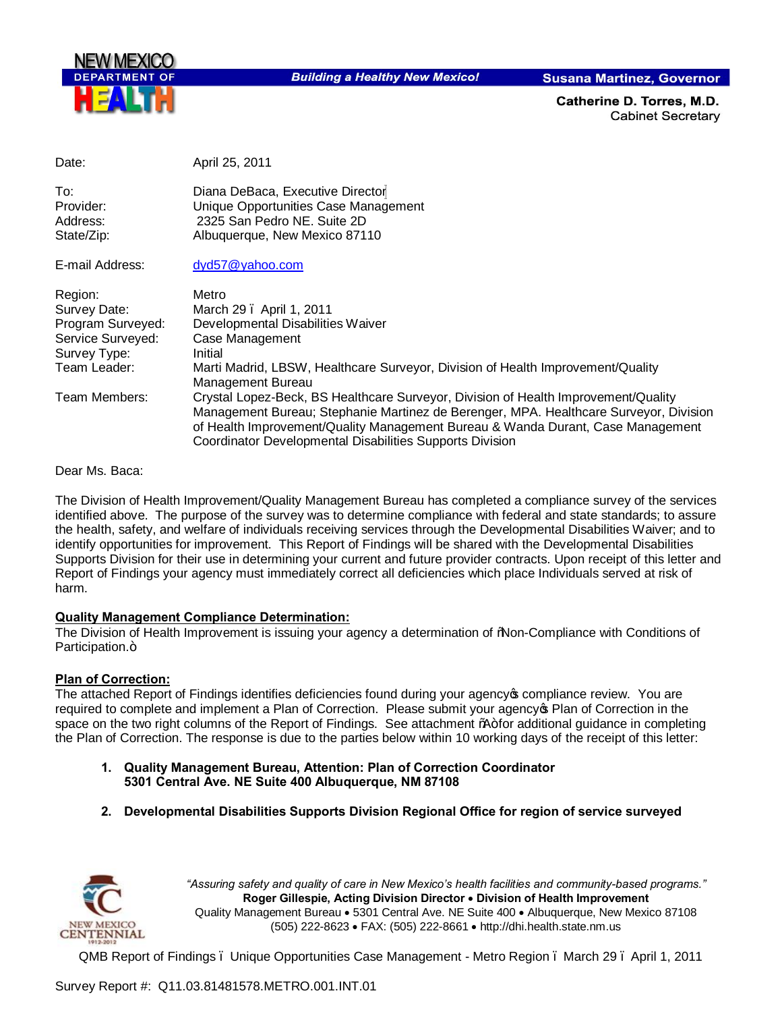

**Building a Healthy New Mexico!** 

**Susana Martinez, Governor** 

Catherine D. Torres, M.D. **Cabinet Secretary** 

| Date:                                      | April 25, 2011                                                                                                                                                                                                                                                                                                             |
|--------------------------------------------|----------------------------------------------------------------------------------------------------------------------------------------------------------------------------------------------------------------------------------------------------------------------------------------------------------------------------|
| To:<br>Provider:<br>Address:<br>State/Zip: | Diana DeBaca, Executive Director<br>Unique Opportunities Case Management<br>2325 San Pedro NE, Suite 2D<br>Albuquerque, New Mexico 87110                                                                                                                                                                                   |
| E-mail Address:                            | dyd57@yahoo.com                                                                                                                                                                                                                                                                                                            |
| Region:                                    | Metro                                                                                                                                                                                                                                                                                                                      |
| Survey Date:                               | March 29 . April 1, 2011                                                                                                                                                                                                                                                                                                   |
| Program Surveyed:                          | Developmental Disabilities Waiver                                                                                                                                                                                                                                                                                          |
| Service Surveyed:<br>Survey Type:          | Case Management<br>Initial                                                                                                                                                                                                                                                                                                 |
| Team Leader:                               | Marti Madrid, LBSW, Healthcare Surveyor, Division of Health Improvement/Quality<br>Management Bureau                                                                                                                                                                                                                       |
| Team Members:                              | Crystal Lopez-Beck, BS Healthcare Surveyor, Division of Health Improvement/Quality<br>Management Bureau; Stephanie Martinez de Berenger, MPA. Healthcare Surveyor, Division<br>of Health Improvement/Quality Management Bureau & Wanda Durant, Case Management<br>Coordinator Developmental Disabilities Supports Division |

Dear Ms. Baca:

The Division of Health I[mprovement/Quality M](mailto:dyd57@yahoo.com)anagement Bureau has completed a compliance survey of the services identified above. The purpose of the survey was to determine compliance with federal and state standards; to assure the health, safety, and welfare of individuals receiving services through the Developmental Disabilities Waiver; and to identify opportunities for improvement. This Report of Findings will be shared with the Developmental Disabilities Supports Division for their use in determining your current and future provider contracts. Upon receipt of this letter and Report of Findings your agency must immediately correct all deficiencies which place Individuals served at risk of harm.

### **Quality Management Compliance Determination:**

The Division of Health Improvement is issuing your agency a determination of "Non-Compliance with Conditions of Participation.+

### **Plan of Correction:**

The attached Report of Findings identifies deficiencies found during your agency of compliance review. You are required to complete and implement a Plan of Correction. Please submit your agency **Flan of Correction in the** space on the two right columns of the Report of Findings. See attachment %+for additional guidance in completing the Plan of Correction. The response is due to the parties below within 10 working days of the receipt of this letter:

- **1. Quality Management Bureau, Attention: Plan of Correction Coordinator 5301 Central Ave. NE Suite 400 Albuquerque, NM 87108**
- **2. Developmental Disabilities Supports Division Regional Office for region of service surveyed**



*"Assuring safety and quality of care in New Mexico's health facilities and community-based programs."* **Roger Gillespie, Acting Division Director** · **Division of Health Improvement**  Quality Management Bureau • 5301 Central Ave. NE Suite 400 • Albuquerque, New Mexico 87108 (505) 222-8623 · FAX: (505) 222-8661 · http://dhi.health.state.nm.us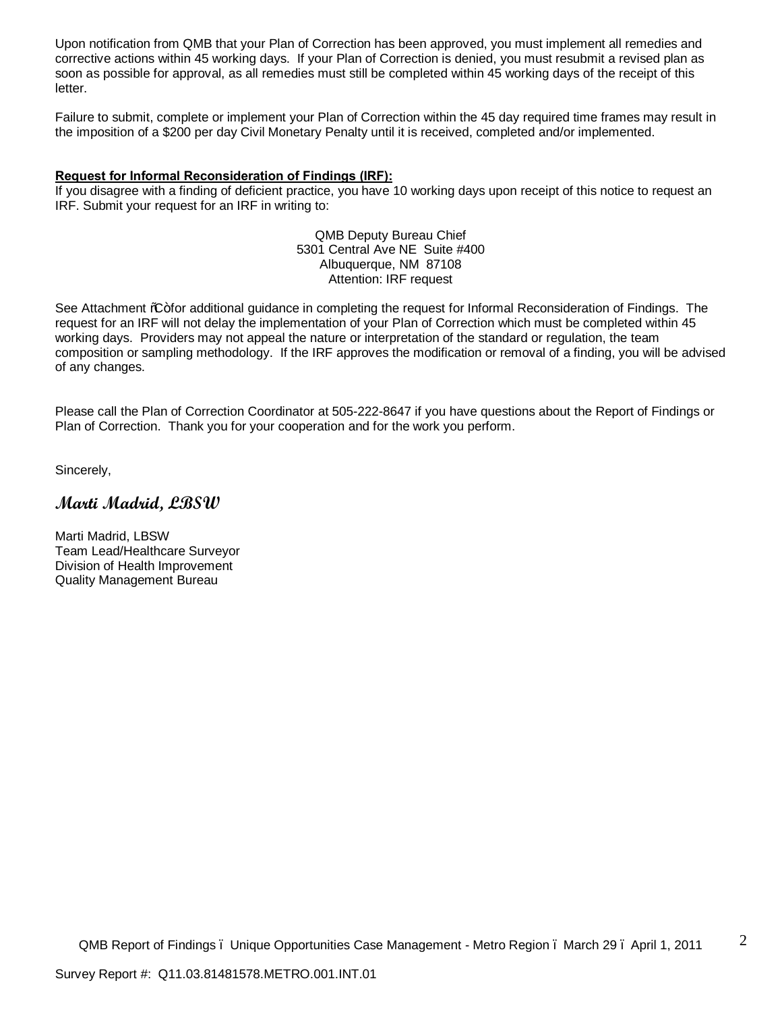Upon notification from QMB that your Plan of Correction has been approved, you must implement all remedies and corrective actions within 45 working days. If your Plan of Correction is denied, you must resubmit a revised plan as soon as possible for approval, as all remedies must still be completed within 45 working days of the receipt of this letter.

Failure to submit, complete or implement your Plan of Correction within the 45 day required time frames may result in the imposition of a \$200 per day Civil Monetary Penalty until it is received, completed and/or implemented.

#### **Request for Informal Reconsideration of Findings (IRF):**

If you disagree with a finding of deficient practice, you have 10 working days upon receipt of this notice to request an IRF. Submit your request for an IRF in writing to:

> QMB Deputy Bureau Chief 5301 Central Ave NE Suite #400 Albuquerque, NM 87108 Attention: IRF request

See Attachment %G+for additional guidance in completing the request for Informal Reconsideration of Findings. The request for an IRF will not delay the implementation of your Plan of Correction which must be completed within 45 working days. Providers may not appeal the nature or interpretation of the standard or regulation, the team composition or sampling methodology. If the IRF approves the modification or removal of a finding, you will be advised of any changes.

Please call the Plan of Correction Coordinator at 505-222-8647 if you have questions about the Report of Findings or Plan of Correction. Thank you for your cooperation and for the work you perform.

Sincerely,

# **Marti Madrid, LBSW**

Marti Madrid, LBSW Team Lead/Healthcare Surveyor Division of Health Improvement Quality Management Bureau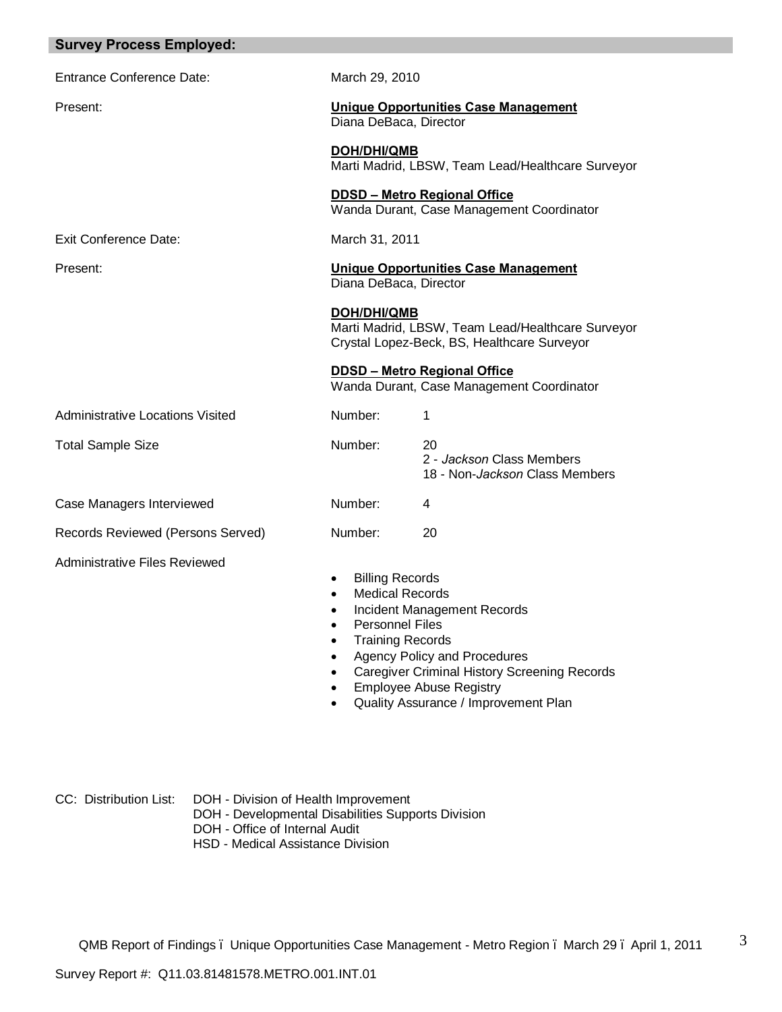| <b>Survey Process Employed:</b>         |                                                                                                                                                                             |                                                                                                                                                                                                     |
|-----------------------------------------|-----------------------------------------------------------------------------------------------------------------------------------------------------------------------------|-----------------------------------------------------------------------------------------------------------------------------------------------------------------------------------------------------|
| <b>Entrance Conference Date:</b>        | March 29, 2010                                                                                                                                                              |                                                                                                                                                                                                     |
| Present:                                | Diana DeBaca, Director                                                                                                                                                      | <b>Unique Opportunities Case Management</b>                                                                                                                                                         |
|                                         | <b>DOH/DHI/QMB</b>                                                                                                                                                          | Marti Madrid, LBSW, Team Lead/Healthcare Surveyor                                                                                                                                                   |
|                                         |                                                                                                                                                                             | <b>DDSD - Metro Regional Office</b><br>Wanda Durant, Case Management Coordinator                                                                                                                    |
| <b>Exit Conference Date:</b>            | March 31, 2011                                                                                                                                                              |                                                                                                                                                                                                     |
| Present:                                | Diana DeBaca, Director                                                                                                                                                      | <b>Unique Opportunities Case Management</b>                                                                                                                                                         |
|                                         | DOH/DHI/QMB                                                                                                                                                                 | Marti Madrid, LBSW, Team Lead/Healthcare Surveyor<br>Crystal Lopez-Beck, BS, Healthcare Surveyor                                                                                                    |
|                                         |                                                                                                                                                                             | <b>DDSD - Metro Regional Office</b><br>Wanda Durant, Case Management Coordinator                                                                                                                    |
| <b>Administrative Locations Visited</b> | Number:                                                                                                                                                                     | 1                                                                                                                                                                                                   |
| <b>Total Sample Size</b>                | Number:                                                                                                                                                                     | 20<br>2 - Jackson Class Members<br>18 - Non-Jackson Class Members                                                                                                                                   |
| Case Managers Interviewed               | Number:                                                                                                                                                                     | 4                                                                                                                                                                                                   |
| Records Reviewed (Persons Served)       | Number:                                                                                                                                                                     | 20                                                                                                                                                                                                  |
| <b>Administrative Files Reviewed</b>    | <b>Billing Records</b><br><b>Medical Records</b><br>$\bullet$<br><b>Personnel Files</b><br>$\bullet$<br><b>Training Records</b><br>$\bullet$<br>$\bullet$<br>$\bullet$<br>٠ | Incident Management Records<br><b>Agency Policy and Procedures</b><br><b>Caregiver Criminal History Screening Records</b><br><b>Employee Abuse Registry</b><br>Quality Assurance / Improvement Plan |

CC: Distribution List: DOH - Division of Health Improvement DOH - Developmental Disabilities Supports Division DOH - Office of Internal Audit HSD - Medical Assistance Division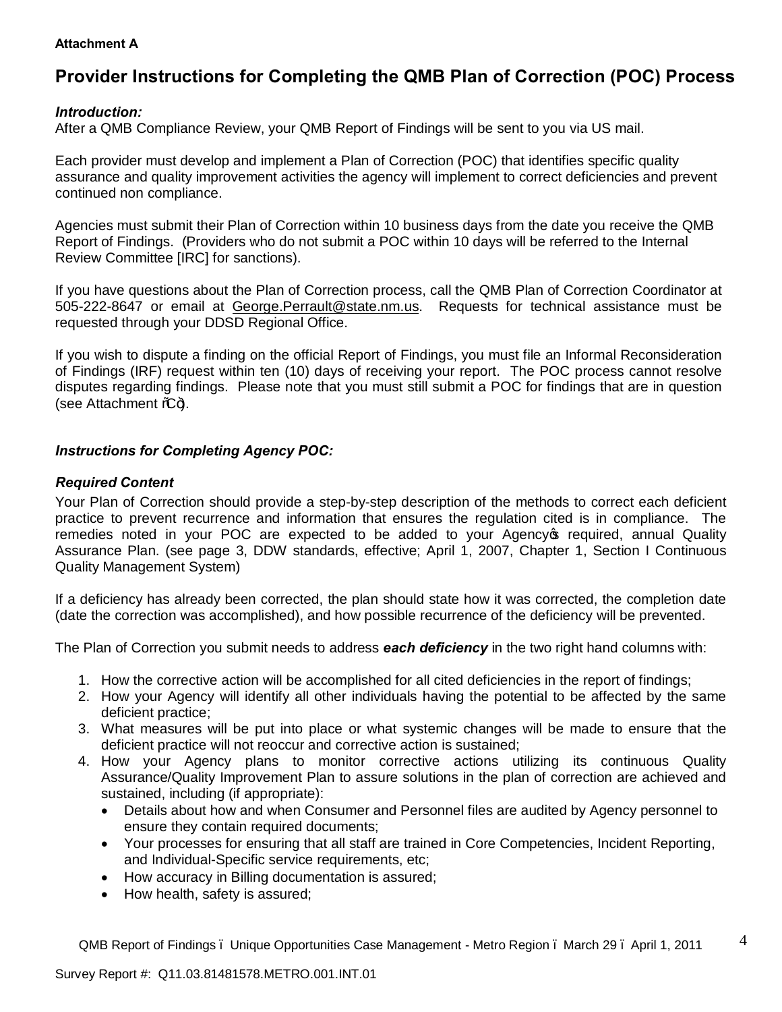### **Attachment A**

# **Provider Instructions for Completing the QMB Plan of Correction (POC) Process**

## *Introduction:*

After a QMB Compliance Review, your QMB Report of Findings will be sent to you via US mail.

Each provider must develop and implement a Plan of Correction (POC) that identifies specific quality assurance and quality improvement activities the agency will implement to correct deficiencies and prevent continued non compliance.

Agencies must submit their Plan of Correction within 10 business days from the date you receive the QMB Report of Findings. (Providers who do not submit a POC within 10 days will be referred to the Internal Review Committee [IRC] for sanctions).

If you have questions about the Plan of Correction process, call the QMB Plan of Correction Coordinator at 505-222-8647 or email at George.Perrault@state.nm.us. Requests for technical assistance must be requested through your DDSD Regional Office.

If you wish to dispute a finding on the official Report of Findings, you must file an Informal Reconsideration of Findings (IRF) request within ten (10) days of receiving your report. The POC process cannot resolve disputes regarding findings. Please note that you must still submit a POC for findings that are in question (see Attachment  $\mathcal{L}$ +).

# *Instructions for Completing Agency POC:*

## *Required Content*

Your Plan of Correction should provide a step-by-step description of the methods to correct each deficient practice to prevent recurrence and information that ensures the regulation cited is in compliance. The remedies noted in your POC are expected to be added to your Agency of required, annual Quality Assurance Plan. (see page 3, DDW standards, effective; April 1, 2007, Chapter 1, Section I Continuous Quality Management System)

If a deficiency has already been corrected, the plan should state how it was corrected, the completion date (date the correction was accomplished), and how possible recurrence of the deficiency will be prevented.

The Plan of Correction you submit needs to address *each deficiency* in the two right hand columns with:

- 1. How the corrective action will be accomplished for all cited deficiencies in the report of findings;
- 2. How your Agency will identify all other individuals having the potential to be affected by the same deficient practice;
- 3. What measures will be put into place or what systemic changes will be made to ensure that the deficient practice will not reoccur and corrective action is sustained;
- 4. How your Agency plans to monitor corrective actions utilizing its continuous Quality Assurance/Quality Improvement Plan to assure solutions in the plan of correction are achieved and sustained, including (if appropriate):
	- · Details about how and when Consumer and Personnel files are audited by Agency personnel to ensure they contain required documents;
	- · Your processes for ensuring that all staff are trained in Core Competencies, Incident Reporting, and Individual-Specific service requirements, etc;
	- · How accuracy in Billing documentation is assured;
	- · How health, safety is assured;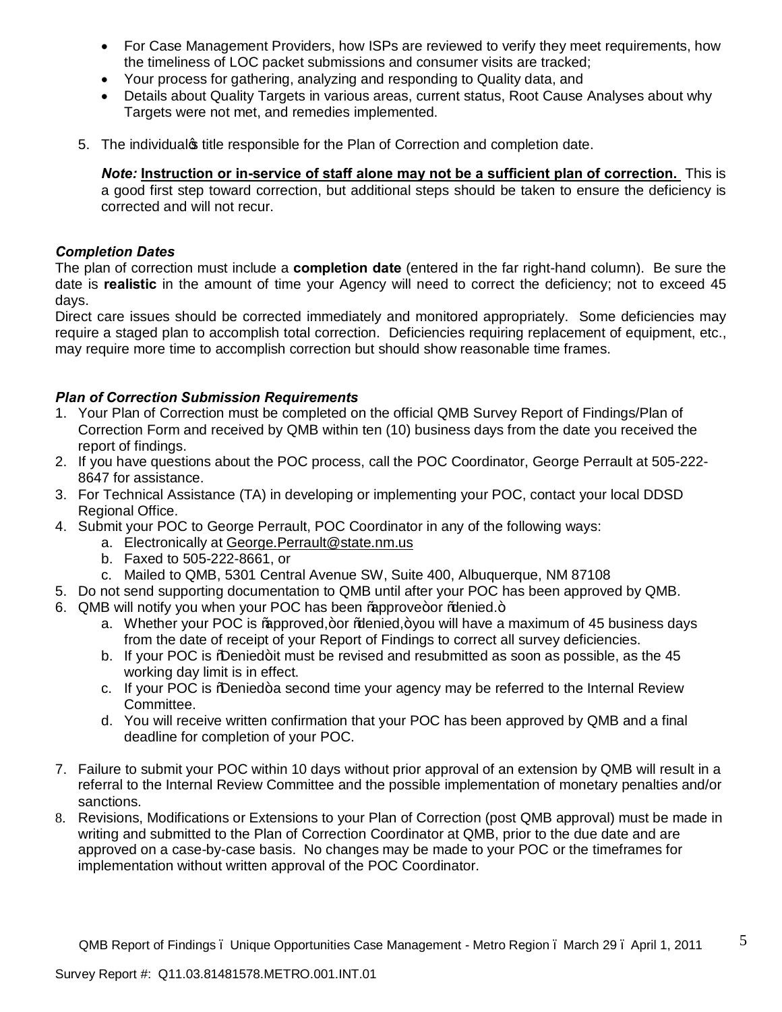- · For Case Management Providers, how ISPs are reviewed to verify they meet requirements, how the timeliness of LOC packet submissions and consumer visits are tracked;
- · Your process for gathering, analyzing and responding to Quality data, and
- · Details about Quality Targets in various areas, current status, Root Cause Analyses about why Targets were not met, and remedies implemented.
- 5. The individual title responsible for the Plan of Correction and completion date.

*Note:* **Instruction or in-service of staff alone may not be a sufficient plan of correction.** This is a good first step toward correction, but additional steps should be taken to ensure the deficiency is corrected and will not recur.

### *Completion Dates*

The plan of correction must include a **completion date** (entered in the far right-hand column). Be sure the date is **realistic** in the amount of time your Agency will need to correct the deficiency; not to exceed 45 days.

Direct care issues should be corrected immediately and monitored appropriately. Some deficiencies may require a staged plan to accomplish total correction. Deficiencies requiring replacement of equipment, etc., may require more time to accomplish correction but should show reasonable time frames.

## *Plan of Correction Submission Requirements*

- 1. Your Plan of Correction must be completed on the official QMB Survey Report of Findings/Plan of Correction Form and received by QMB within ten (10) business days from the date you received the report of findings.
- 2. If you have questions about the POC process, call the POC Coordinator, George Perrault at 505-222- 8647 for assistance.
- 3. For Technical Assistance (TA) in developing or implementing your POC, contact your local DDSD Regional Office.
- 4. Submit your POC to George Perrault, POC Coordinator in any of the following ways:
	- a. Electronically at George.Perrault@state.nm.us
	- b. Faxed to 505-222-8661, or
	- c. Mailed to QMB, 5301 Central Avenue SW, Suite 400, Albuquerque, NM 87108
- 5. Do not send supporting documentation to QMB until after your POC has been approved by QMB.
- 6. QMB will notify you when your POC has been % approve+or % denied.+
	- a. Whether your POC is % approved, + or % denied, + you will have a maximum of 45 business days from the date of receipt of your Report of Findings to correct all survey deficiencies.
	- b. If your POC is % Denied+it must be revised and resubmitted as soon as possible, as the 45 working day limit is in effect.
	- c. If your POC is %Denied+a second time your agency may be referred to the Internal Review Committee.
	- d. You will receive written confirmation that your POC has been approved by QMB and a final deadline for completion of your POC.
- 7. Failure to submit your [POC within 10 days without prio](mailto:George.Perrault@state.nm.us)r approval of an extension by QMB will result in a referral to the Internal Review Committee and the possible implementation of monetary penalties and/or sanctions.
- 8. Revisions, Modifications or Extensions to your Plan of Correction (post QMB approval) must be made in writing and submitted to the Plan of Correction Coordinator at QMB, prior to the due date and are approved on a case-by-case basis. No changes may be made to your POC or the timeframes for implementation without written approval of the POC Coordinator.

5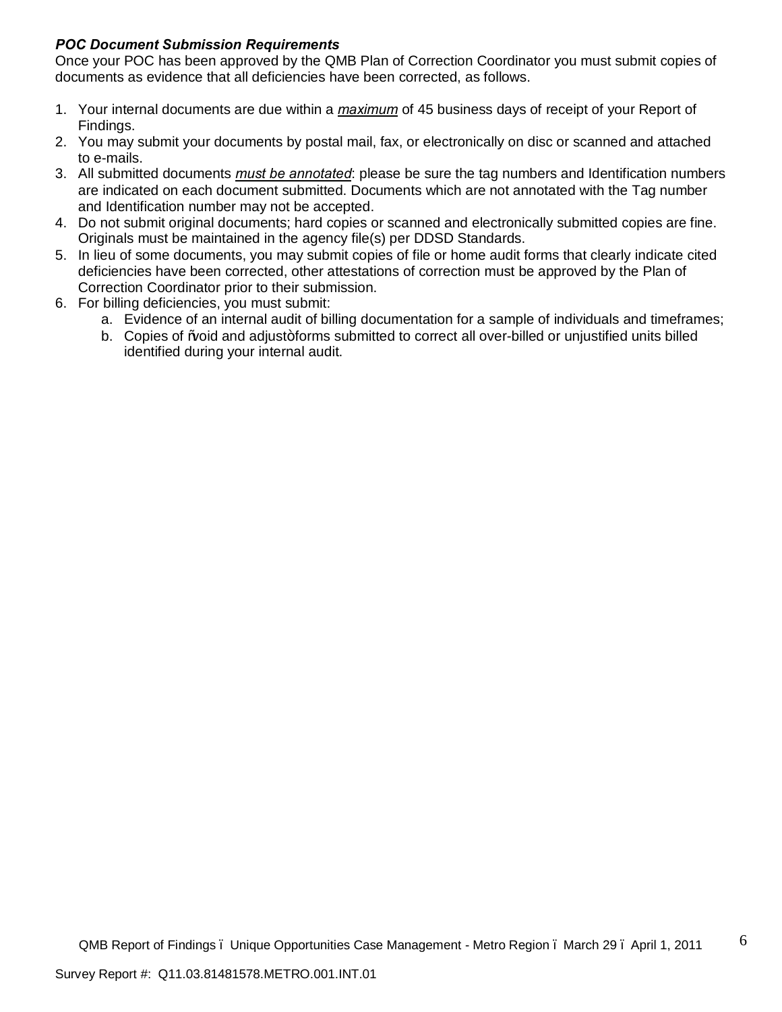# *POC Document Submission Requirements*

Once your POC has been approved by the QMB Plan of Correction Coordinator you must submit copies of documents as evidence that all deficiencies have been corrected, as follows.

- 1. Your internal documents are due within a *maximum* of 45 business days of receipt of your Report of Findings.
- 2. You may submit your documents by postal mail, fax, or electronically on disc or scanned and attached to e-mails.
- 3. All submitted documents *must be annotated*: please be sure the tag numbers and Identification numbers are indicated on each document submitted. Documents which are not annotated with the Tag number and Identification number may not be accepted.
- 4. Do not submit original documents; hard copies or scanned and electronically submitted copies are fine. Originals must be maintained in the agency file(s) per DDSD Standards.
- 5. In lieu of some documents, you may submit copies of file or home audit forms that clearly indicate cited deficiencies have been corrected, other attestations of correction must be approved by the Plan of Correction Coordinator prior to their submission.
- 6. For billing deficiencies, you must submit:
	- a. Evidence of an internal audit of billing documentation for a sample of individuals and timeframes;
	- b. Copies of Woid and adjust+forms submitted to correct all over-billed or unjustified units billed identified during your internal audit.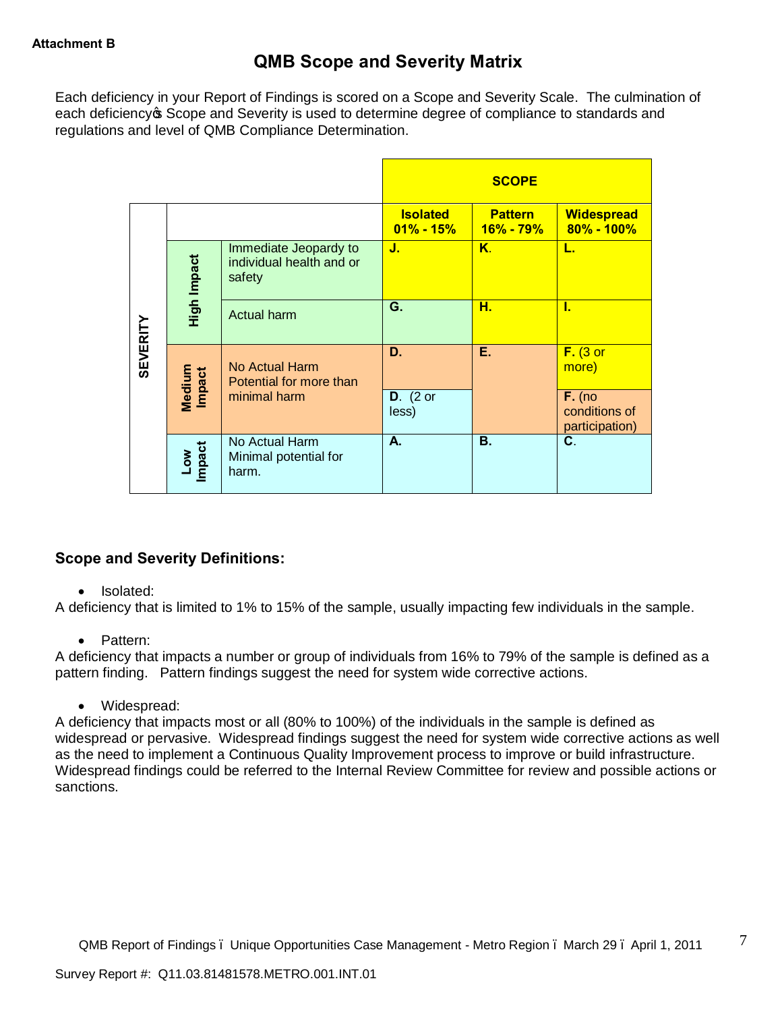# **QMB Scope and Severity Matrix**

Each deficiency in your Report of Findings is scored on a Scope and Severity Scale. The culmination of each deficiency **S** Scope and Severity is used to determine degree of compliance to standards and regulations and level of QMB Compliance Determination.

|                 |                         |                                                             |                                  | <b>SCOPE</b>                |                                     |
|-----------------|-------------------------|-------------------------------------------------------------|----------------------------------|-----------------------------|-------------------------------------|
|                 |                         |                                                             | <b>Isolated</b><br>$01\% - 15\%$ | <b>Pattern</b><br>16% - 79% | <b>Widespread</b><br>$80\% - 100\%$ |
|                 | <b>High Impact</b>      | Immediate Jeopardy to<br>individual health and or<br>safety | J.                               | $K_{\cdot}$                 | L.                                  |
|                 |                         | <b>Actual harm</b>                                          | G.                               | н.                          | L                                   |
| <b>SEVERITY</b> | Medium<br><b>Impact</b> | No Actual Harm<br>Potential for more than                   | D.                               | Е.                          | $F.$ (3 or<br>more)                 |
|                 |                         |                                                             | minimal harm                     | $D.$ (2 or<br>less)         |                                     |
|                 | Low<br>Impact           | No Actual Harm<br>Minimal potential for<br>harm.            | A.                               | <b>B.</b>                   | C.                                  |

# **Scope and Severity Definitions:**

### • Isolated:

A deficiency that is limited to 1% to 15% of the sample, usually impacting few individuals in the sample.

### · Pattern:

A deficiency that impacts a number or group of individuals from 16% to 79% of the sample is defined as a pattern finding. Pattern findings suggest the need for system wide corrective actions.

· Widespread:

A deficiency that impacts most or all (80% to 100%) of the individuals in the sample is defined as widespread or pervasive. Widespread findings suggest the need for system wide corrective actions as well as the need to implement a Continuous Quality Improvement process to improve or build infrastructure. Widespread findings could be referred to the Internal Review Committee for review and possible actions or sanctions.

7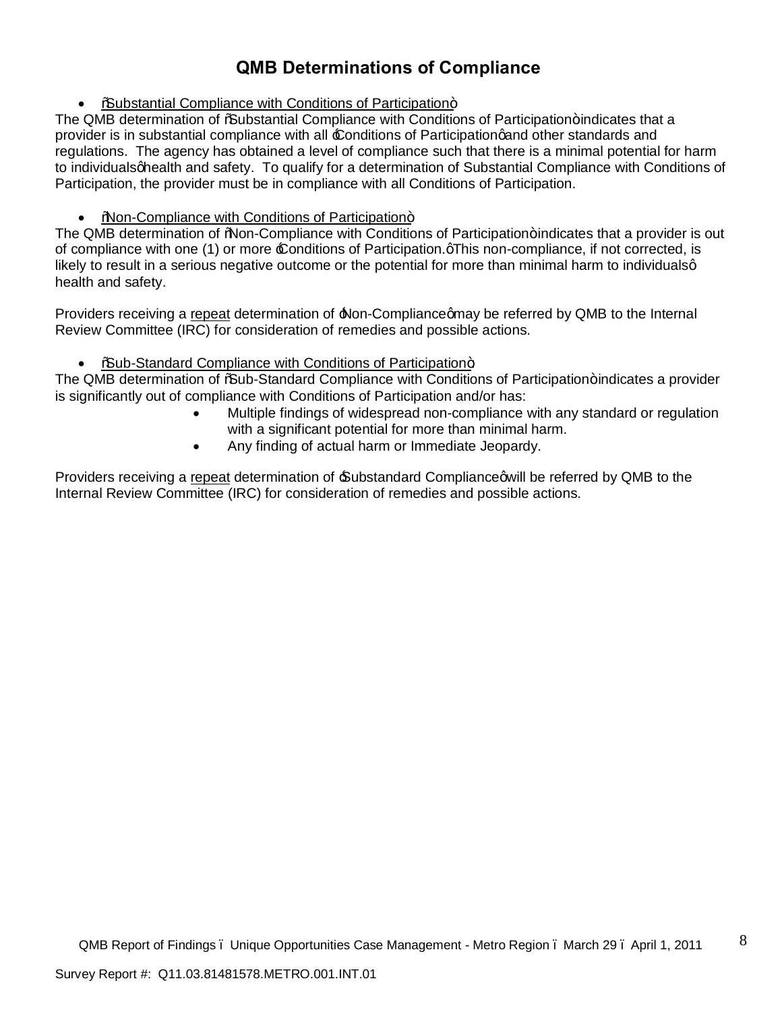# **QMB Determinations of Compliance**

• %Substantial Compliance with Conditions of Participation+

The QMB determination of % Substantial Compliance with Conditions of Participation+indicates that a provider is in substantial compliance with all  $\pounds$  onditions of Participationg and other standards and regulations. The agency has obtained a level of compliance such that there is a minimal potential for harm to individuals ghealth and safety. To qualify for a determination of Substantial Compliance with Conditions of Participation, the provider must be in compliance with all Conditions of Participation.

%Non-Compliance with Conditions of Participation+

The QMB determination of "Non-Compliance with Conditions of Participation+ indicates that a provider is out of compliance with one (1) or more £ onditions of Participation. This non-compliance, if not corrected, is likely to result in a serious negative outcome or the potential for more than minimal harm to individualsg health and safety.

Providers receiving a repeat determination of  $\Delta$ Non-Compliance and y be referred by QMB to the Internal Review Committee (IRC) for consideration of remedies and possible actions.

• %Sub-Standard Compliance with Conditions of Participation+

The QMB determination of % aub-Standard Compliance with Conditions of Participation+ indicates a provider is significantly out of compliance with Conditions of Participation and/or has:

- · Multiple findings of widespread non-compliance with any standard or regulation with a significant potential for more than minimal harm.
- · Any finding of actual harm or Immediate Jeopardy.

Providers receiving a repeat determination of Substandard Compliance qwill be referred by QMB to the Internal Review Committee (IRC) for consideration of remedies and possible actions.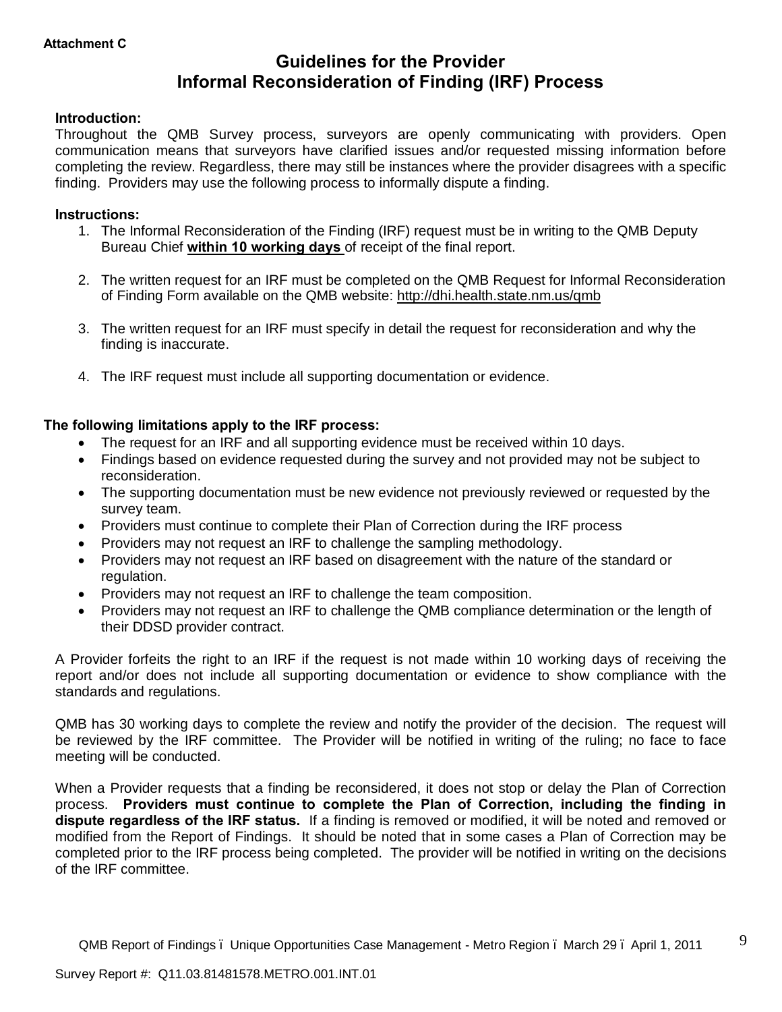# **Guidelines for the Provider Informal Reconsideration of Finding (IRF) Process**

### **Introduction:**

Throughout the QMB Survey process, surveyors are openly communicating with providers. Open communication means that surveyors have clarified issues and/or requested missing information before completing the review. Regardless, there may still be instances where the provider disagrees with a specific finding. Providers may use the following process to informally dispute a finding.

#### **Instructions:**

- 1. The Informal Reconsideration of the Finding (IRF) request must be in writing to the QMB Deputy Bureau Chief **within 10 working days** of receipt of the final report.
- 2. The written request for an IRF must be completed on the QMB Request for Informal Reconsideration of Finding Form available on the QMB website: http://dhi.health.state.nm.us/qmb
- 3. The written request for an IRF must specify in detail the request for reconsideration and why the finding is inaccurate.
- 4. The IRF request must include all supporting documentation or evidence.

### **The following limitations apply to the IRF process:**

- The request for an IRF and all supporting evidence must be received within 10 days.
- · Findings based on evidence requested during the survey and not provided may not be subject to reconsideration.
- · The supporting documentation must be new evidence not previously reviewed or requested by the survey team.
- · Providers must continue to complete their Plan [of Correction during the IRF proce](http://dhi.health.state.nm.us/qmb)ss
- · Providers may not request an IRF to challenge the sampling methodology.
- · Providers may not request an IRF based on disagreement with the nature of the standard or regulation.
- · Providers may not request an IRF to challenge the team composition.
- · Providers may not request an IRF to challenge the QMB compliance determination or the length of their DDSD provider contract.

A Provider forfeits the right to an IRF if the request is not made within 10 working days of receiving the report and/or does not include all supporting documentation or evidence to show compliance with the standards and regulations.

QMB has 30 working days to complete the review and notify the provider of the decision. The request will be reviewed by the IRF committee. The Provider will be notified in writing of the ruling; no face to face meeting will be conducted.

When a Provider requests that a finding be reconsidered, it does not stop or delay the Plan of Correction process. **Providers must continue to complete the Plan of Correction, including the finding in dispute regardless of the IRF status.** If a finding is removed or modified, it will be noted and removed or modified from the Report of Findings. It should be noted that in some cases a Plan of Correction may be completed prior to the IRF process being completed. The provider will be notified in writing on the decisions of the IRF committee.

9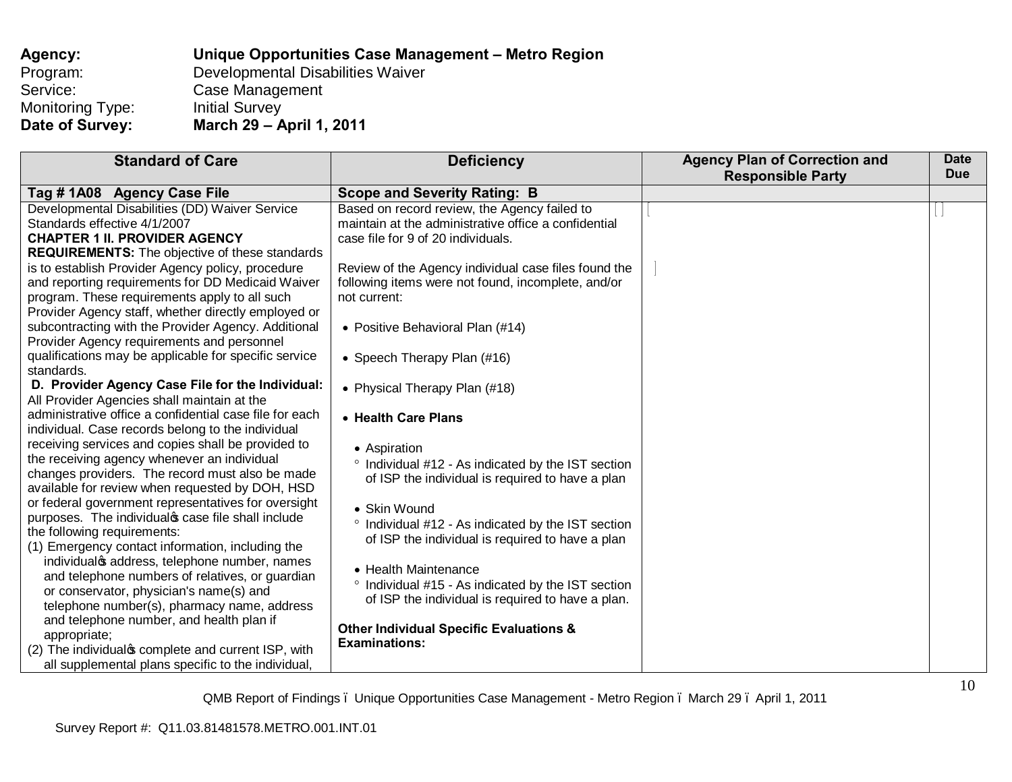| Agency:          | Unique Opportunities Case Management – Metro Region |
|------------------|-----------------------------------------------------|
| Program:         | Developmental Disabilities Waiver                   |
| Service:         | Case Management                                     |
| Monitoring Type: | <b>Initial Survey</b>                               |
| Date of Survey:  | March 29 - April 1, 2011                            |

| <b>Standard of Care</b>                                 | <b>Deficiency</b>                                    | <b>Agency Plan of Correction and</b> | <b>Date</b> |
|---------------------------------------------------------|------------------------------------------------------|--------------------------------------|-------------|
|                                                         |                                                      | <b>Responsible Party</b>             | <b>Due</b>  |
| Tag # 1A08 Agency Case File                             | <b>Scope and Severity Rating: B</b>                  |                                      |             |
| Developmental Disabilities (DD) Waiver Service          | Based on record review, the Agency failed to         |                                      |             |
| Standards effective 4/1/2007                            | maintain at the administrative office a confidential |                                      |             |
| <b>CHAPTER 1 II. PROVIDER AGENCY</b>                    | case file for 9 of 20 individuals.                   |                                      |             |
| <b>REQUIREMENTS:</b> The objective of these standards   |                                                      |                                      |             |
| is to establish Provider Agency policy, procedure       | Review of the Agency individual case files found the |                                      |             |
| and reporting requirements for DD Medicaid Waiver       | following items were not found, incomplete, and/or   |                                      |             |
| program. These requirements apply to all such           | not current:                                         |                                      |             |
| Provider Agency staff, whether directly employed or     |                                                      |                                      |             |
| subcontracting with the Provider Agency. Additional     | • Positive Behavioral Plan (#14)                     |                                      |             |
| Provider Agency requirements and personnel              |                                                      |                                      |             |
| qualifications may be applicable for specific service   | • Speech Therapy Plan (#16)                          |                                      |             |
| standards.                                              |                                                      |                                      |             |
| D. Provider Agency Case File for the Individual:        | • Physical Therapy Plan (#18)                        |                                      |             |
| All Provider Agencies shall maintain at the             |                                                      |                                      |             |
| administrative office a confidential case file for each | • Health Care Plans                                  |                                      |             |
| individual. Case records belong to the individual       |                                                      |                                      |             |
| receiving services and copies shall be provided to      | • Aspiration                                         |                                      |             |
| the receiving agency whenever an individual             | ° Individual #12 - As indicated by the IST section   |                                      |             |
| changes providers. The record must also be made         | of ISP the individual is required to have a plan     |                                      |             |
| available for review when requested by DOH, HSD         |                                                      |                                      |             |
| or federal government representatives for oversight     | • Skin Wound                                         |                                      |             |
| purposes. The individual case file shall include        | ° Individual #12 - As indicated by the IST section   |                                      |             |
| the following requirements:                             | of ISP the individual is required to have a plan     |                                      |             |
| (1) Emergency contact information, including the        |                                                      |                                      |             |
| individual saddress, telephone number, names            | • Health Maintenance                                 |                                      |             |
| and telephone numbers of relatives, or guardian         | ° Individual #15 - As indicated by the IST section   |                                      |             |
| or conservator, physician's name(s) and                 | of ISP the individual is required to have a plan.    |                                      |             |
| telephone number(s), pharmacy name, address             |                                                      |                                      |             |
| and telephone number, and health plan if                | <b>Other Individual Specific Evaluations &amp;</b>   |                                      |             |
| appropriate;                                            | <b>Examinations:</b>                                 |                                      |             |
| (2) The individual complete and current ISP, with       |                                                      |                                      |             |
| all supplemental plans specific to the individual,      |                                                      |                                      |             |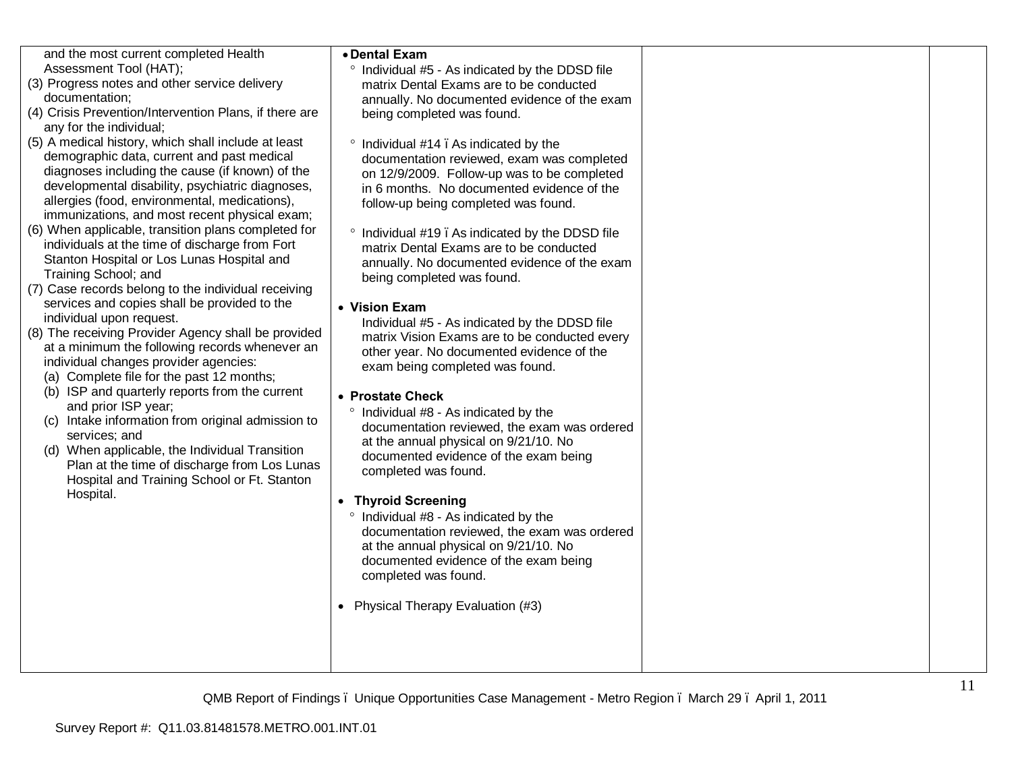| and the most current completed Health<br>Assessment Tool (HAT);<br>(3) Progress notes and other service delivery<br>documentation:<br>(4) Crisis Prevention/Intervention Plans, if there are<br>any for the individual;<br>(5) A medical history, which shall include at least<br>demographic data, current and past medical<br>diagnoses including the cause (if known) of the<br>developmental disability, psychiatric diagnoses,<br>allergies (food, environmental, medications),<br>immunizations, and most recent physical exam;<br>(6) When applicable, transition plans completed for<br>individuals at the time of discharge from Fort<br>Stanton Hospital or Los Lunas Hospital and<br>Training School; and<br>(7) Case records belong to the individual receiving<br>services and copies shall be provided to the<br>individual upon request.<br>(8) The receiving Provider Agency shall be provided<br>at a minimum the following records whenever an<br>individual changes provider agencies:<br>(a) Complete file for the past 12 months;<br>(b) ISP and quarterly reports from the current<br>and prior ISP year;<br>(c) Intake information from original admission to<br>services; and<br>(d) When applicable, the Individual Transition<br>Plan at the time of discharge from Los Lunas<br>Hospital and Training School or Ft. Stanton<br>Hospital. | • Dental Exam<br>° Individual #5 - As indicated by the DDSD file<br>matrix Dental Exams are to be conducted<br>annually. No documented evidence of the exam<br>being completed was found.<br>° Individual #14. As indicated by the<br>documentation reviewed, exam was completed<br>on 12/9/2009. Follow-up was to be completed<br>in 6 months. No documented evidence of the<br>follow-up being completed was found.<br>° Individual #19. As indicated by the DDSD file<br>matrix Dental Exams are to be conducted<br>annually. No documented evidence of the exam<br>being completed was found.<br>• Vision Exam<br>Individual #5 - As indicated by the DDSD file<br>matrix Vision Exams are to be conducted every<br>other year. No documented evidence of the<br>exam being completed was found.<br>• Prostate Check<br>° Individual #8 - As indicated by the<br>documentation reviewed, the exam was ordered<br>at the annual physical on 9/21/10. No<br>documented evidence of the exam being<br>completed was found.<br>• Thyroid Screening<br>° Individual #8 - As indicated by the<br>documentation reviewed, the exam was ordered<br>at the annual physical on 9/21/10. No<br>documented evidence of the exam being<br>completed was found.<br>• Physical Therapy Evaluation (#3) |  |
|---------------------------------------------------------------------------------------------------------------------------------------------------------------------------------------------------------------------------------------------------------------------------------------------------------------------------------------------------------------------------------------------------------------------------------------------------------------------------------------------------------------------------------------------------------------------------------------------------------------------------------------------------------------------------------------------------------------------------------------------------------------------------------------------------------------------------------------------------------------------------------------------------------------------------------------------------------------------------------------------------------------------------------------------------------------------------------------------------------------------------------------------------------------------------------------------------------------------------------------------------------------------------------------------------------------------------------------------------------------------|---------------------------------------------------------------------------------------------------------------------------------------------------------------------------------------------------------------------------------------------------------------------------------------------------------------------------------------------------------------------------------------------------------------------------------------------------------------------------------------------------------------------------------------------------------------------------------------------------------------------------------------------------------------------------------------------------------------------------------------------------------------------------------------------------------------------------------------------------------------------------------------------------------------------------------------------------------------------------------------------------------------------------------------------------------------------------------------------------------------------------------------------------------------------------------------------------------------------------------------------------------------------------------------------|--|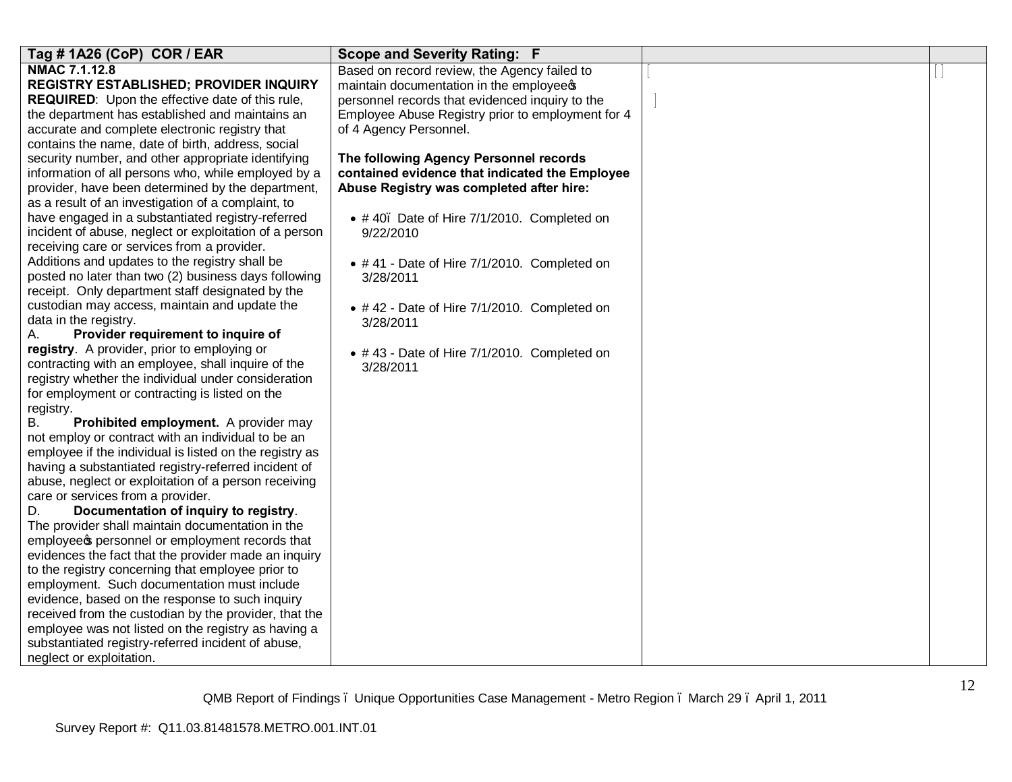| Tag #1A26 (CoP) COR / EAR                               | <b>Scope and Severity Rating: F</b>               |  |
|---------------------------------------------------------|---------------------------------------------------|--|
| <b>NMAC 7.1.12.8</b>                                    | Based on record review, the Agency failed to      |  |
| <b>REGISTRY ESTABLISHED; PROVIDER INQUIRY</b>           | maintain documentation in the employees           |  |
| <b>REQUIRED:</b> Upon the effective date of this rule,  | personnel records that evidenced inquiry to the   |  |
| the department has established and maintains an         | Employee Abuse Registry prior to employment for 4 |  |
| accurate and complete electronic registry that          | of 4 Agency Personnel.                            |  |
| contains the name, date of birth, address, social       |                                                   |  |
| security number, and other appropriate identifying      | The following Agency Personnel records            |  |
| information of all persons who, while employed by a     | contained evidence that indicated the Employee    |  |
| provider, have been determined by the department,       | Abuse Registry was completed after hire:          |  |
| as a result of an investigation of a complaint, to      |                                                   |  |
| have engaged in a substantiated registry-referred       | • #40. Date of Hire 7/1/2010. Completed on        |  |
| incident of abuse, neglect or exploitation of a person  | 9/22/2010                                         |  |
| receiving care or services from a provider.             |                                                   |  |
| Additions and updates to the registry shall be          | • #41 - Date of Hire 7/1/2010. Completed on       |  |
| posted no later than two (2) business days following    | 3/28/2011                                         |  |
| receipt. Only department staff designated by the        |                                                   |  |
| custodian may access, maintain and update the           | • #42 - Date of Hire 7/1/2010. Completed on       |  |
| data in the registry.                                   | 3/28/2011                                         |  |
| Provider requirement to inquire of<br>А.                |                                                   |  |
| registry. A provider, prior to employing or             | • #43 - Date of Hire 7/1/2010. Completed on       |  |
| contracting with an employee, shall inquire of the      | 3/28/2011                                         |  |
| registry whether the individual under consideration     |                                                   |  |
| for employment or contracting is listed on the          |                                                   |  |
| registry.                                               |                                                   |  |
| Prohibited employment. A provider may<br>В.             |                                                   |  |
| not employ or contract with an individual to be an      |                                                   |  |
| employee if the individual is listed on the registry as |                                                   |  |
| having a substantiated registry-referred incident of    |                                                   |  |
| abuse, neglect or exploitation of a person receiving    |                                                   |  |
| care or services from a provider.                       |                                                   |  |
| Documentation of inquiry to registry.<br>D.             |                                                   |  |
| The provider shall maintain documentation in the        |                                                   |  |
| employees personnel or employment records that          |                                                   |  |
| evidences the fact that the provider made an inquiry    |                                                   |  |
| to the registry concerning that employee prior to       |                                                   |  |
| employment. Such documentation must include             |                                                   |  |
| evidence, based on the response to such inquiry         |                                                   |  |
| received from the custodian by the provider, that the   |                                                   |  |
| employee was not listed on the registry as having a     |                                                   |  |
| substantiated registry-referred incident of abuse,      |                                                   |  |
| neglect or exploitation.                                |                                                   |  |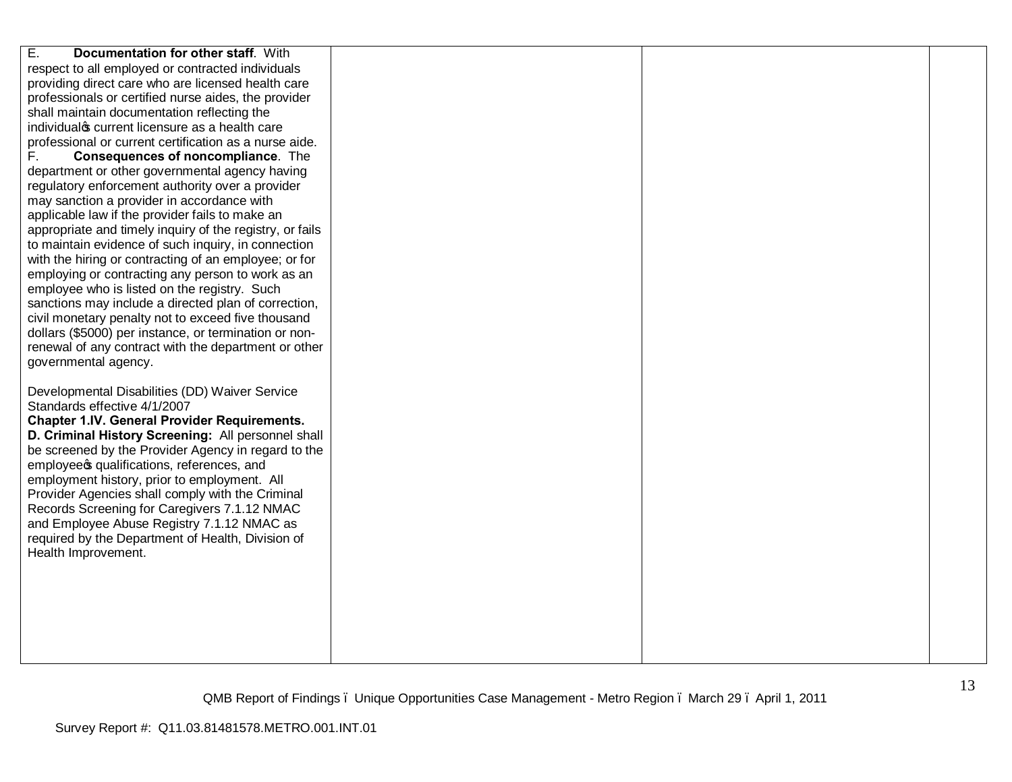| Ε.<br>Documentation for other staff. With                |  |  |
|----------------------------------------------------------|--|--|
| respect to all employed or contracted individuals        |  |  |
| providing direct care who are licensed health care       |  |  |
| professionals or certified nurse aides, the provider     |  |  |
| shall maintain documentation reflecting the              |  |  |
| individualos current licensure as a health care          |  |  |
| professional or current certification as a nurse aide.   |  |  |
| F.<br>Consequences of noncompliance. The                 |  |  |
| department or other governmental agency having           |  |  |
| regulatory enforcement authority over a provider         |  |  |
| may sanction a provider in accordance with               |  |  |
| applicable law if the provider fails to make an          |  |  |
| appropriate and timely inquiry of the registry, or fails |  |  |
| to maintain evidence of such inquiry, in connection      |  |  |
| with the hiring or contracting of an employee; or for    |  |  |
| employing or contracting any person to work as an        |  |  |
| employee who is listed on the registry. Such             |  |  |
| sanctions may include a directed plan of correction,     |  |  |
| civil monetary penalty not to exceed five thousand       |  |  |
| dollars (\$5000) per instance, or termination or non-    |  |  |
| renewal of any contract with the department or other     |  |  |
| governmental agency.                                     |  |  |
| Developmental Disabilities (DD) Waiver Service           |  |  |
| Standards effective 4/1/2007                             |  |  |
| <b>Chapter 1.IV. General Provider Requirements.</b>      |  |  |
| D. Criminal History Screening: All personnel shall       |  |  |
| be screened by the Provider Agency in regard to the      |  |  |
| employees qualifications, references, and                |  |  |
| employment history, prior to employment. All             |  |  |
| Provider Agencies shall comply with the Criminal         |  |  |
| Records Screening for Caregivers 7.1.12 NMAC             |  |  |
| and Employee Abuse Registry 7.1.12 NMAC as               |  |  |
| required by the Department of Health, Division of        |  |  |
| Health Improvement.                                      |  |  |
|                                                          |  |  |
|                                                          |  |  |
|                                                          |  |  |
|                                                          |  |  |
|                                                          |  |  |
|                                                          |  |  |
|                                                          |  |  |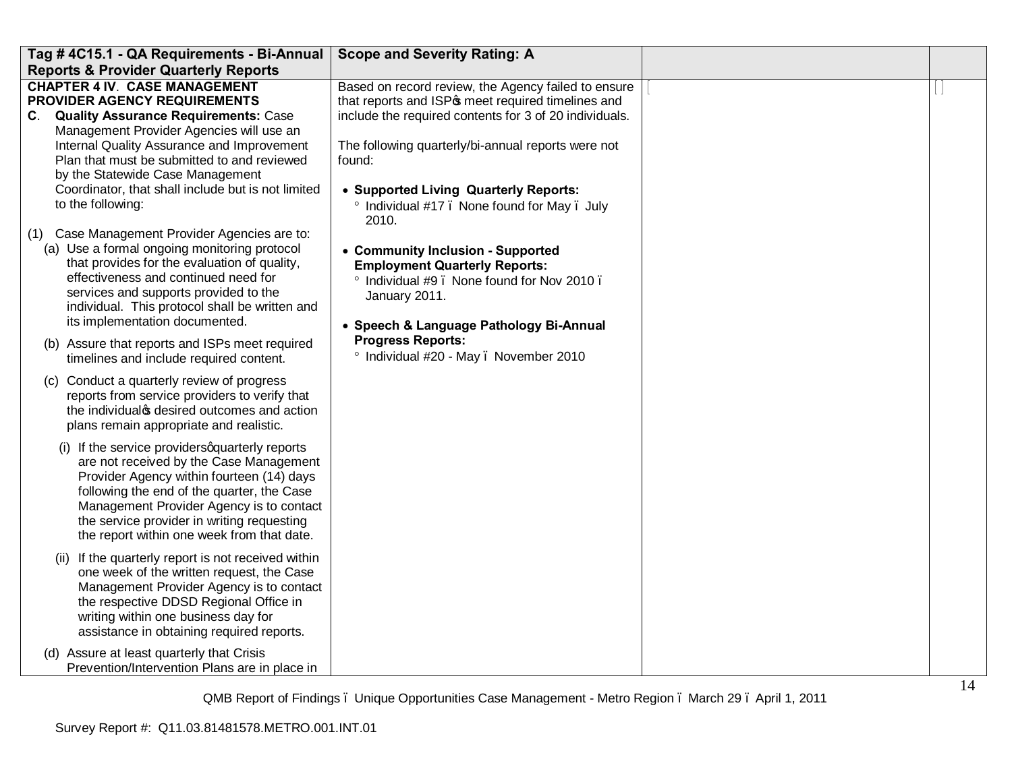| Tag #4C15.1 - QA Requirements - Bi-Annual                                                                                                                                                                                                                                                                                    | <b>Scope and Severity Rating: A</b>                                                                                                                                                |  |
|------------------------------------------------------------------------------------------------------------------------------------------------------------------------------------------------------------------------------------------------------------------------------------------------------------------------------|------------------------------------------------------------------------------------------------------------------------------------------------------------------------------------|--|
| <b>Reports &amp; Provider Quarterly Reports</b>                                                                                                                                                                                                                                                                              |                                                                                                                                                                                    |  |
| <b>CHAPTER 4 IV. CASE MANAGEMENT</b><br>PROVIDER AGENCY REQUIREMENTS<br>C. Quality Assurance Requirements: Case<br>Management Provider Agencies will use an                                                                                                                                                                  | Based on record review, the Agency failed to ensure<br>that reports and ISP <sub>®</sub> meet required timelines and<br>include the required contents for 3 of 20 individuals.     |  |
| Internal Quality Assurance and Improvement<br>Plan that must be submitted to and reviewed<br>by the Statewide Case Management                                                                                                                                                                                                | The following quarterly/bi-annual reports were not<br>found:                                                                                                                       |  |
| Coordinator, that shall include but is not limited<br>to the following:                                                                                                                                                                                                                                                      | • Supported Living Quarterly Reports:<br>Individual #17. None found for May. July<br>2010.                                                                                         |  |
| (1) Case Management Provider Agencies are to:<br>(a) Use a formal ongoing monitoring protocol<br>that provides for the evaluation of quality,<br>effectiveness and continued need for<br>services and supports provided to the<br>individual. This protocol shall be written and<br>its implementation documented.           | • Community Inclusion - Supported<br><b>Employment Quarterly Reports:</b><br>° Individual #9. None found for Nov 2010.<br>January 2011.<br>• Speech & Language Pathology Bi-Annual |  |
| (b) Assure that reports and ISPs meet required<br>timelines and include required content.                                                                                                                                                                                                                                    | <b>Progress Reports:</b><br>° Individual #20 - May . November 2010                                                                                                                 |  |
| (c) Conduct a quarterly review of progress<br>reports from service providers to verify that<br>the individual s desired outcomes and action<br>plans remain appropriate and realistic.                                                                                                                                       |                                                                                                                                                                                    |  |
| (i) If the service providers quarterly reports<br>are not received by the Case Management<br>Provider Agency within fourteen (14) days<br>following the end of the quarter, the Case<br>Management Provider Agency is to contact<br>the service provider in writing requesting<br>the report within one week from that date. |                                                                                                                                                                                    |  |
| (ii) If the quarterly report is not received within<br>one week of the written request, the Case<br>Management Provider Agency is to contact<br>the respective DDSD Regional Office in<br>writing within one business day for<br>assistance in obtaining required reports.                                                   |                                                                                                                                                                                    |  |
| (d) Assure at least quarterly that Crisis<br>Prevention/Intervention Plans are in place in                                                                                                                                                                                                                                   |                                                                                                                                                                                    |  |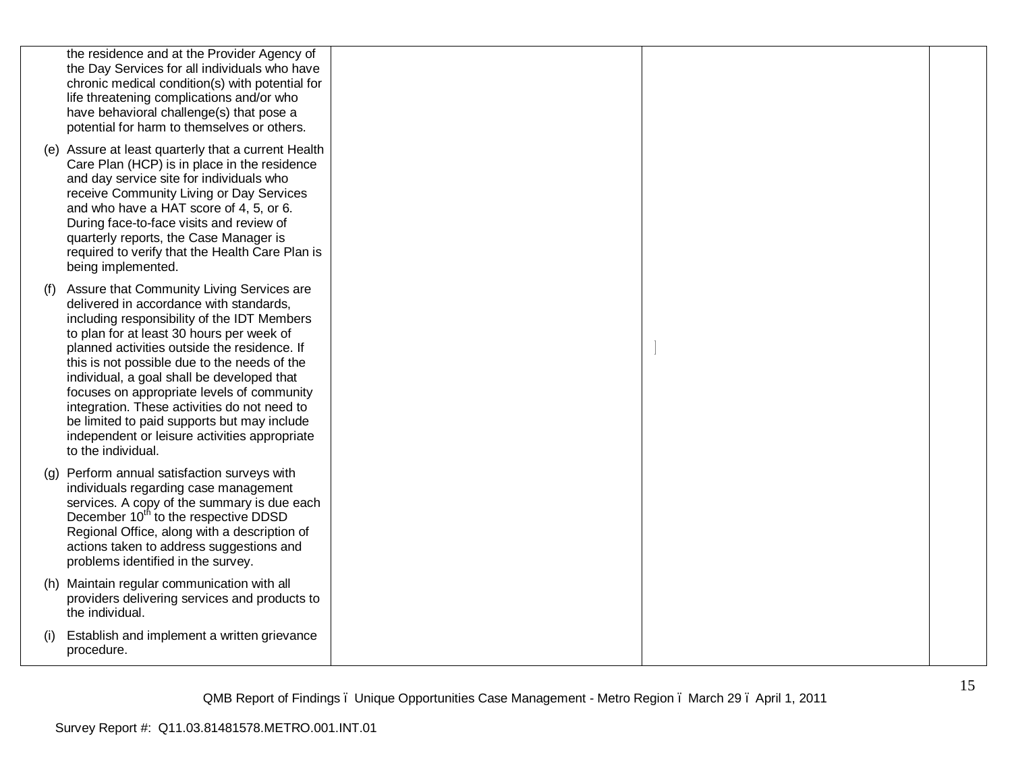|     | the residence and at the Provider Agency of<br>the Day Services for all individuals who have<br>chronic medical condition(s) with potential for<br>life threatening complications and/or who<br>have behavioral challenge(s) that pose a<br>potential for harm to themselves or others.<br>(e) Assure at least quarterly that a current Health<br>Care Plan (HCP) is in place in the residence<br>and day service site for individuals who<br>receive Community Living or Day Services<br>and who have a HAT score of 4, 5, or 6.<br>During face-to-face visits and review of<br>quarterly reports, the Case Manager is<br>required to verify that the Health Care Plan is |  |  |
|-----|----------------------------------------------------------------------------------------------------------------------------------------------------------------------------------------------------------------------------------------------------------------------------------------------------------------------------------------------------------------------------------------------------------------------------------------------------------------------------------------------------------------------------------------------------------------------------------------------------------------------------------------------------------------------------|--|--|
| (1) | being implemented.<br>Assure that Community Living Services are<br>delivered in accordance with standards,<br>including responsibility of the IDT Members<br>to plan for at least 30 hours per week of<br>planned activities outside the residence. If<br>this is not possible due to the needs of the<br>individual, a goal shall be developed that<br>focuses on appropriate levels of community<br>integration. These activities do not need to<br>be limited to paid supports but may include<br>independent or leisure activities appropriate                                                                                                                         |  |  |
|     | to the individual.<br>(g) Perform annual satisfaction surveys with<br>individuals regarding case management<br>services. A copy of the summary is due each<br>December 10 <sup>th</sup> to the respective DDSD<br>Regional Office, along with a description of<br>actions taken to address suggestions and<br>problems identified in the survey.                                                                                                                                                                                                                                                                                                                           |  |  |
|     | (h) Maintain regular communication with all<br>providers delivering services and products to<br>the individual.                                                                                                                                                                                                                                                                                                                                                                                                                                                                                                                                                            |  |  |
| (1) | Establish and implement a written grievance<br>procedure.                                                                                                                                                                                                                                                                                                                                                                                                                                                                                                                                                                                                                  |  |  |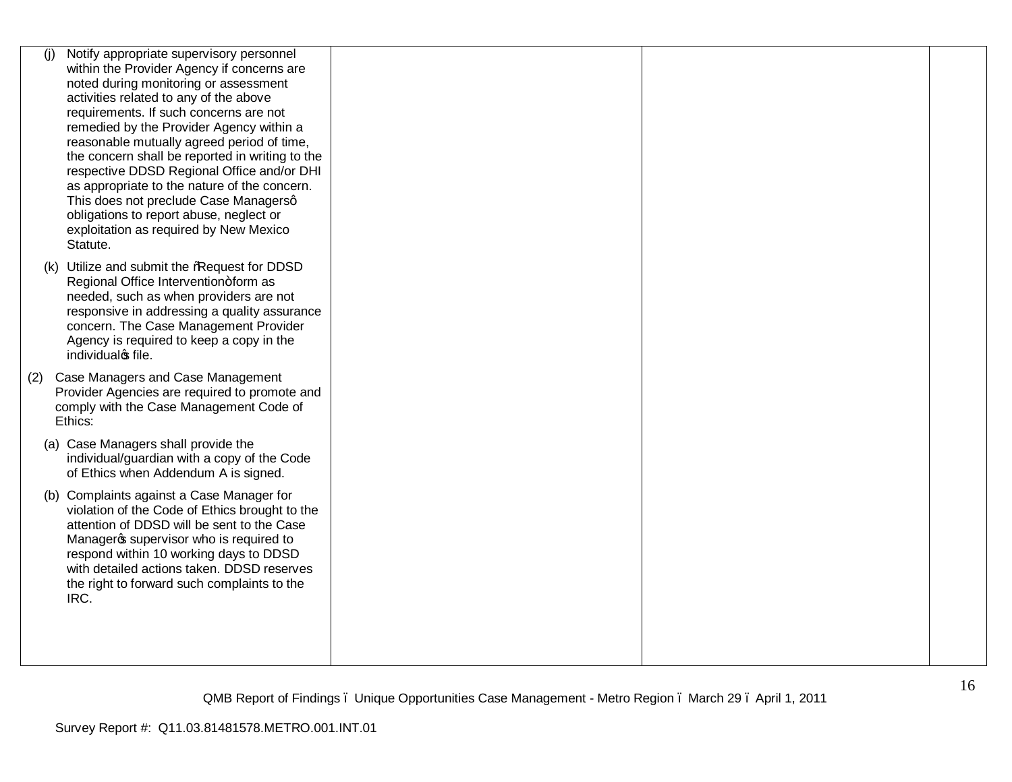| (i) | Notify appropriate supervisory personnel                                                      |  |  |
|-----|-----------------------------------------------------------------------------------------------|--|--|
|     | within the Provider Agency if concerns are                                                    |  |  |
|     | noted during monitoring or assessment                                                         |  |  |
|     | activities related to any of the above                                                        |  |  |
|     | requirements. If such concerns are not                                                        |  |  |
|     | remedied by the Provider Agency within a                                                      |  |  |
|     | reasonable mutually agreed period of time,<br>the concern shall be reported in writing to the |  |  |
|     | respective DDSD Regional Office and/or DHI                                                    |  |  |
|     | as appropriate to the nature of the concern.                                                  |  |  |
|     | This does not preclude Case Managersq                                                         |  |  |
|     | obligations to report abuse, neglect or                                                       |  |  |
|     | exploitation as required by New Mexico                                                        |  |  |
|     | Statute.                                                                                      |  |  |
|     | (k) Utilize and submit the %Request for DDSD                                                  |  |  |
|     | Regional Office Intervention+form as                                                          |  |  |
|     | needed, such as when providers are not                                                        |  |  |
|     | responsive in addressing a quality assurance                                                  |  |  |
|     | concern. The Case Management Provider                                                         |  |  |
|     | Agency is required to keep a copy in the                                                      |  |  |
|     | individualos file.                                                                            |  |  |
| (2) | Case Managers and Case Management                                                             |  |  |
|     | Provider Agencies are required to promote and                                                 |  |  |
|     | comply with the Case Management Code of                                                       |  |  |
|     | Ethics:                                                                                       |  |  |
|     | (a) Case Managers shall provide the                                                           |  |  |
|     | individual/guardian with a copy of the Code                                                   |  |  |
|     | of Ethics when Addendum A is signed.                                                          |  |  |
|     |                                                                                               |  |  |
|     | (b) Complaints against a Case Manager for                                                     |  |  |
|     | violation of the Code of Ethics brought to the                                                |  |  |
|     | attention of DDSD will be sent to the Case                                                    |  |  |
|     | Manageros supervisor who is required to<br>respond within 10 working days to DDSD             |  |  |
|     | with detailed actions taken. DDSD reserves                                                    |  |  |
|     | the right to forward such complaints to the                                                   |  |  |
|     | IRC.                                                                                          |  |  |
|     |                                                                                               |  |  |
|     |                                                                                               |  |  |
|     |                                                                                               |  |  |
|     |                                                                                               |  |  |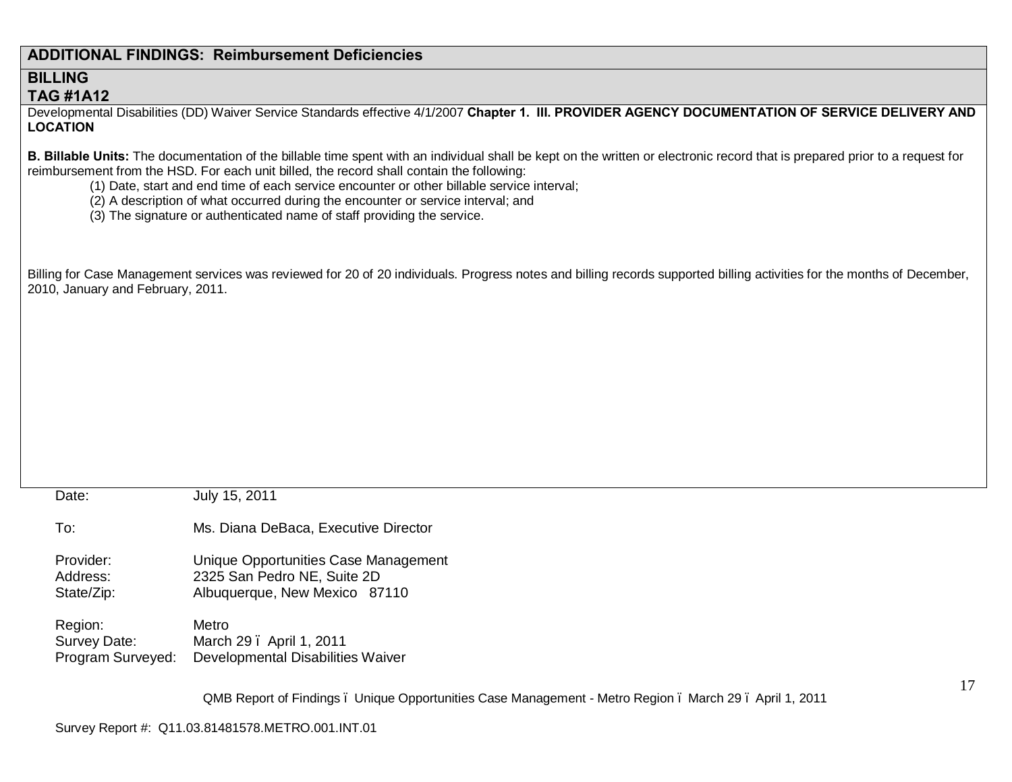# **ADDITIONAL FINDINGS: Reimbursement Deficiencies**

### **BILLING TAG #1A12**

Developmental Disabilities (DD) Waiver Service Standards effective 4/1/2007 **Chapter 1. III. PROVIDER AGENCY DOCUMENTATION OF SERVICE DELIVERY AND LOCATION**

**B. Billable Units:** The documentation of the billable time spent with an individual shall be kept on the written or electronic record that is prepared prior to a request for reimbursement from the HSD. For each unit billed, the record shall contain the following:

- (1) Date, start and end time of each service encounter or other billable service interval;
- (2) A description of what occurred during the encounter or service interval; and
- (3) The signature or authenticated name of staff providing the service.

Billing for Case Management services was reviewed for 20 of 20 individuals. Progress notes and billing records supported billing activities for the months of December, 2010, January and February, 2011.

| Date:             | July 15, 2011                        |
|-------------------|--------------------------------------|
| To:               | Ms. Diana DeBaca, Executive Director |
| Provider:         | Unique Opportunities Case Management |
| Address:          | 2325 San Pedro NE, Suite 2D          |
| State/Zip:        | Albuquerque, New Mexico 87110        |
| Region:           | Metro                                |
| Survey Date:      | March 29 . April 1, 2011             |
| Program Surveyed: | Developmental Disabilities Waiver    |